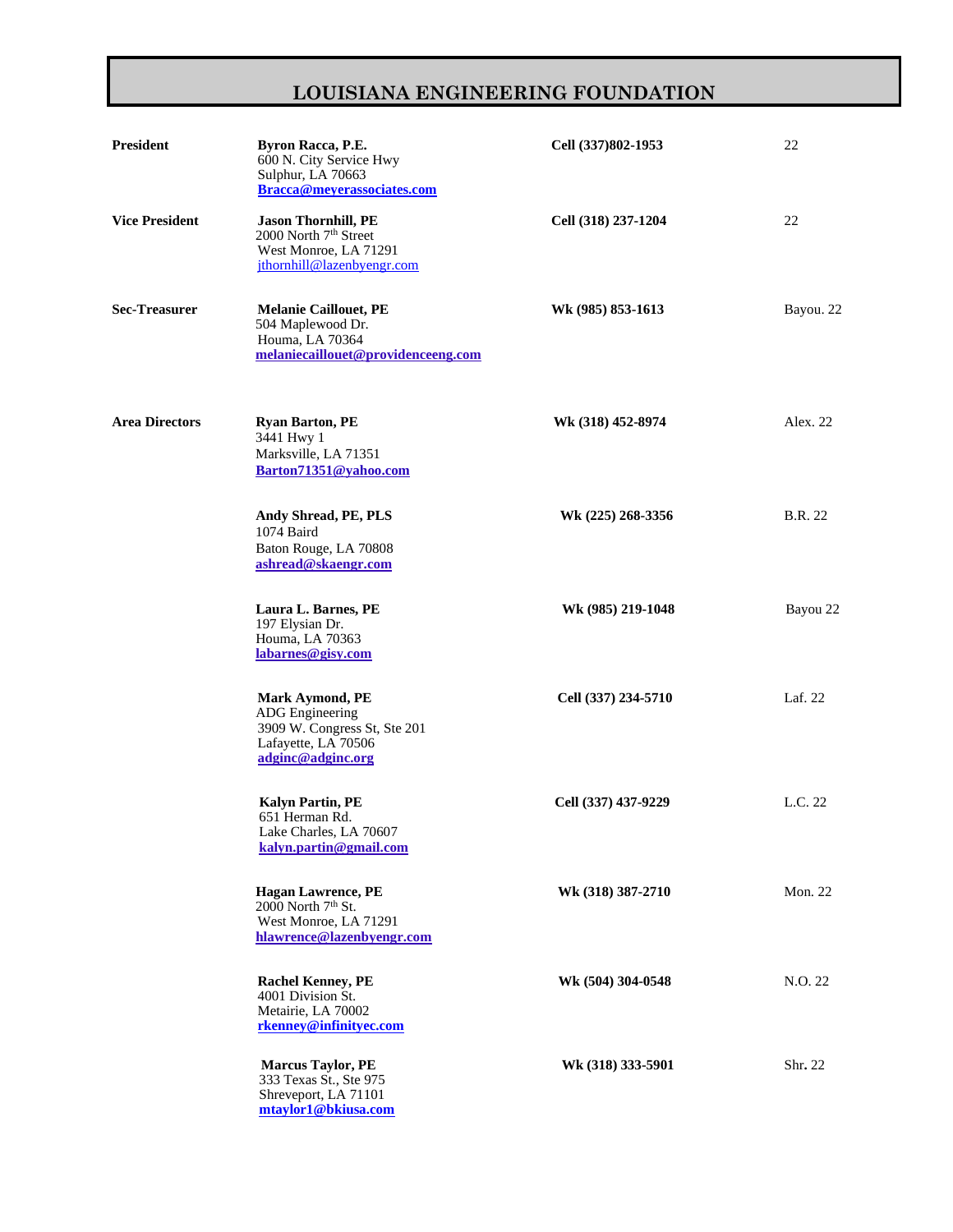## **LOUISIANA ENGINEERING FOUNDATION**

| <b>President</b>      | Byron Racca, P.E.<br>600 N. City Service Hwy<br>Sulphur, LA 70663<br>Bracca@meyerassociates.com                              | Cell (337)802-1953  | 22             |
|-----------------------|------------------------------------------------------------------------------------------------------------------------------|---------------------|----------------|
| <b>Vice President</b> | Jason Thornhill, PE<br>2000 North 7 <sup>th</sup> Street<br>West Monroe, LA 71291<br>jthornhill@lazenbyengr.com              | Cell (318) 237-1204 | 22             |
| <b>Sec-Treasurer</b>  | <b>Melanie Caillouet, PE</b><br>504 Maplewood Dr.<br>Houma, LA 70364<br>melaniecaillouet@providenceeng.com                   | Wk (985) 853-1613   | Bayou. 22      |
| <b>Area Directors</b> | <b>Ryan Barton, PE</b><br>3441 Hwy 1<br>Marksville, LA 71351<br>Barton71351@yahoo.com                                        | Wk (318) 452-8974   | Alex. 22       |
|                       | Andy Shread, PE, PLS<br>1074 Baird<br>Baton Rouge, LA 70808<br>ashread@skaengr.com                                           | Wk (225) 268-3356   | <b>B.R.</b> 22 |
|                       | Laura L. Barnes, PE<br>197 Elysian Dr.<br>Houma, LA 70363<br>labarnes@gisy.com                                               | Wk (985) 219-1048   | Bayou 22       |
|                       | <b>Mark Aymond, PE</b><br><b>ADG</b> Engineering<br>3909 W. Congress St, Ste 201<br>Lafayette, LA 70506<br>adginc@adginc.org | Cell (337) 234-5710 | Laf. 22        |
|                       | <b>Kalyn Partin, PE</b><br>651 Herman Rd.<br>Lake Charles, LA 70607<br>kalyn.partin@gmail.com                                | Cell (337) 437-9229 | L.C. 22        |
|                       | <b>Hagan Lawrence, PE</b><br>2000 North 7 <sup>th</sup> St.<br>West Monroe, LA 71291<br>hlawrence@lazenbyengr.com            | Wk (318) 387-2710   | <b>Mon. 22</b> |
|                       | <b>Rachel Kenney, PE</b><br>4001 Division St.<br>Metairie, LA 70002<br>rkenney@infinityec.com                                | Wk (504) 304-0548   | N.O. 22        |
|                       | <b>Marcus Taylor, PE</b><br>333 Texas St., Ste 975<br>Shreveport, LA 71101<br>mtaylor1@bkiusa.com                            | Wk (318) 333-5901   | Shr. 22        |